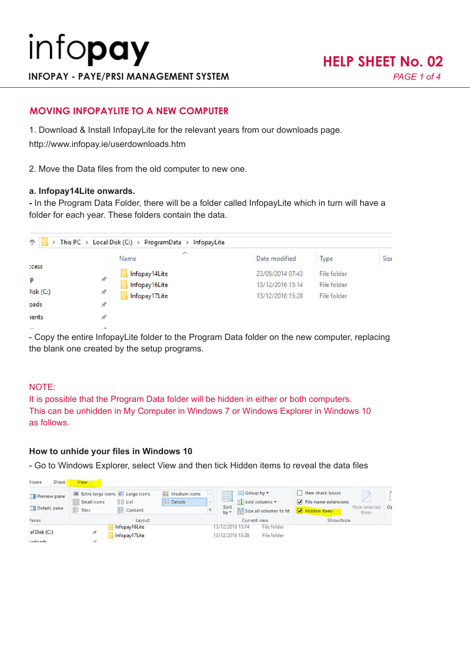# **MOVING INFOPAYLITE TO A NEW COMPUTER**

1. Download & Install InfopayLite for the relevant years from our downloads page.

http://www.infopay.ie/userdownloads.htm

2. Move the Data files from the old computer to new one.

#### **a. Infopay14Lite onwards.**

**-** In the Program Data Folder, there will be a folder called InfopayLite which in turn will have a folder for each year. These folders contain the data.

| $\uparrow$   |                | > This PC > Local Disk (C:) > ProgramData > InfopayLite |                  |             |      |
|--------------|----------------|---------------------------------------------------------|------------------|-------------|------|
|              |                | $\widehat{\phantom{a}}$<br>Name                         | Date modified    | Type        | Size |
| <b>Cess</b>  |                |                                                         |                  |             |      |
| p            | st             | Infopay14Lite                                           | 23/09/2014 07:43 | File folder |      |
|              |                | Infopay16Lite                                           | 13/12/2016 15:14 | File folder |      |
| Disk(C.)     | A              | Infopay17Lite                                           | 13/12/2016 15:28 | File folder |      |
| oads         | я              |                                                         |                  |             |      |
| <b>nents</b> |                |                                                         |                  |             |      |
|              | <b>SELLING</b> |                                                         |                  |             |      |

- Copy the entire InfopayLite folder to the Program Data folder on the new computer, replacing the blank one created by the setup programs.

### NOTE:

It is possible that the Program Data folder will be hidden in either or both computers. This can be unhidden in My Computer in Windows 7 or Windows Explorer in Windows 10 as follows.

### **How to unhide your files in Windows 10**

- Go to Windows Explorer, select View and then tick Hidden items to reveal the data files

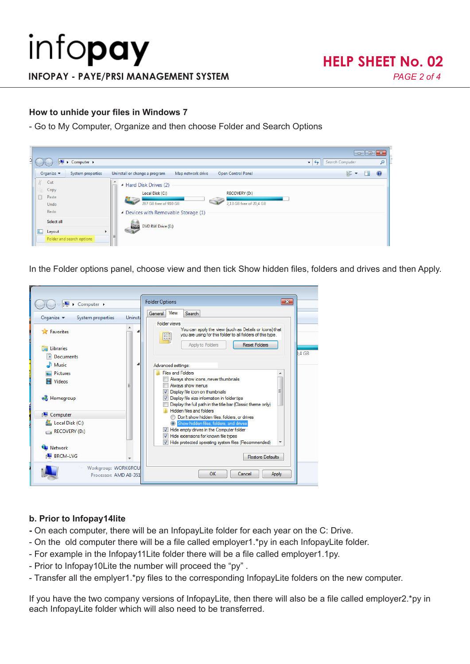## **How to unhide your files in Windows 7**

- Go to My Computer, Organize and then choose Folder and Search Options

| <b>E</b> > Computer >                                                                                |                                                                                                                                                                                                                           | Search Computer<br>$-14$      | $\begin{array}{c c c c c c} \hline \multicolumn{3}{c }{\mathbf{C}} & \multicolumn{3}{c }{\mathbf{X}} \end{array}$<br>$\mathcal{L}$ |
|------------------------------------------------------------------------------------------------------|---------------------------------------------------------------------------------------------------------------------------------------------------------------------------------------------------------------------------|-------------------------------|------------------------------------------------------------------------------------------------------------------------------------|
| Organize v<br>System properties                                                                      | Open Control Panel<br>Uninstall or change a program<br>Map network drive                                                                                                                                                  | $\frac{1}{M}$ = $\rightarrow$ | $\bullet$<br>п                                                                                                                     |
| Cut<br>Copy<br>Paste<br>Undo<br>Redo<br>Select all<br>L<br>Layout<br>Þ.<br>Folder and search options | ۰<br>▲ Hard Disk Drives (2)<br>Local Disk (C:)<br><b>RECOVERY (D:)</b><br>$\sim$<br>287 GB free of 910 GB<br>2,13 GB free of 20,4 GB<br>Devices with Removable Storage (1)<br>DVD RW Drive (E:)<br><b>DVD</b><br>$\equiv$ |                               |                                                                                                                                    |

In the Folder options panel, choose view and then tick Show hidden files, folders and drives and then Apply.

| Organize v<br>System properties | Uninsta | View<br>Search<br>General  <br><b>Folder views</b>                                                                        |      |
|---------------------------------|---------|---------------------------------------------------------------------------------------------------------------------------|------|
| <b>Eavorites</b>                |         | You can apply the view (such as Details or Icons) that<br>you are using for this folder to all folders of this type.<br>m |      |
| Libraries                       |         | <b>Reset Folders</b><br>Apply to Folders                                                                                  | 4 GB |
| <b>Documents</b>                |         |                                                                                                                           |      |
| <b>Music</b>                    |         | Advanced settings:                                                                                                        |      |
| <b>Pictures</b>                 |         | <b>Files and Folders</b>                                                                                                  |      |
| <b>Videos</b>                   |         | Always show icons, never thumbnails                                                                                       |      |
|                                 |         | Always show menus<br>V Display file icon on thumbnails                                                                    |      |
| ed Homegroup                    |         | V Display file size information in folder tips                                                                            |      |
|                                 |         | Display the full path in the title bar (Classic theme only)                                                               |      |
| Computer                        |         | Hidden files and folders                                                                                                  |      |
| Local Disk (C:)                 |         | Don't show hidden files, folders, or drives<br>Show hidden files, folders, and drives                                     |      |
| RECOVERY (D.)                   |         | Hide empty drives in the Computer folder                                                                                  |      |
|                                 |         | Hide extensions for known file types<br>$\bigtriangledown$                                                                |      |
| <b>Network</b>                  |         | V Hide protected operating system files (Recommended)                                                                     |      |
| <b>BRCM-LVG</b>                 |         |                                                                                                                           |      |
|                                 |         | <b>Restore Defaults</b>                                                                                                   |      |

### **b. Prior to Infopay14lite**

- On each computer, there will be an InfopayLite folder for each year on the C: Drive.
- On the old computer there will be a file called employer1.\*py in each InfopayLite folder.
- For example in the Infopay11Lite folder there will be a file called employer1.1py.
- Prior to Infopay10Lite the number will proceed the "py" .
- Transfer all the emplyer1.\*py files to the corresponding InfopayLite folders on the new computer.

If you have the two company versions of InfopayLite, then there will also be a file called employer2.\*py in each InfopayLite folder which will also need to be transferred.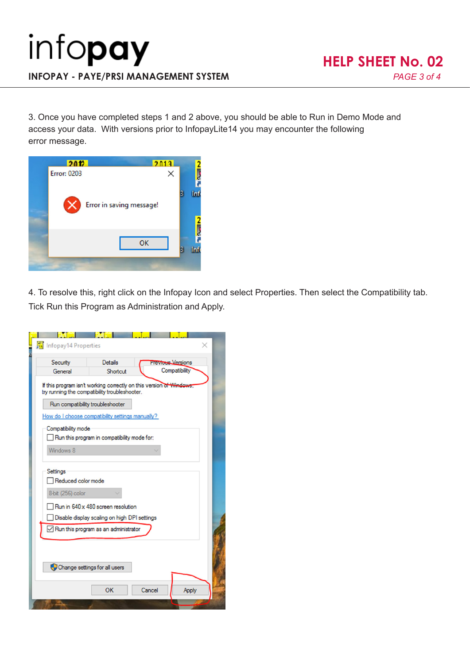3. Once you have completed steps 1 and 2 above, you should be able to Run in Demo Mode and access your data. With versions prior to InfopayLite14 you may encounter the following error message.



4. To resolve this, right click on the Infopay Icon and select Properties. Then select the Compatibility tab. Tick Run this Program as Administration and Apply.

| Infopay14 Properties                                |                                                                                                                                                                      |                                           |       |
|-----------------------------------------------------|----------------------------------------------------------------------------------------------------------------------------------------------------------------------|-------------------------------------------|-------|
| Security<br>General                                 | <b>Details</b><br>Shortcut                                                                                                                                           | <b>Previous Versions</b><br>Compatibility |       |
|                                                     | If this program isn't working correctly on this version of V<br>try running the compatibility troubleshooter.                                                        |                                           |       |
|                                                     | Run compatibility troubleshooter                                                                                                                                     |                                           |       |
|                                                     | How do I choose compatibility settings manually?                                                                                                                     |                                           |       |
| Compatibility mode                                  | Run this program in compatibility mode for:                                                                                                                          |                                           |       |
| Windows 8                                           |                                                                                                                                                                      |                                           |       |
| Settings<br>Reduced color mode<br>8-bit (256) color | Run in 640 x 480 screen resolution<br>Disable display scaling on high DPI settings<br>$\angle$ Run this program as an administrator<br>Change settings for all users |                                           |       |
|                                                     | OK                                                                                                                                                                   | Cancel                                    | Apply |